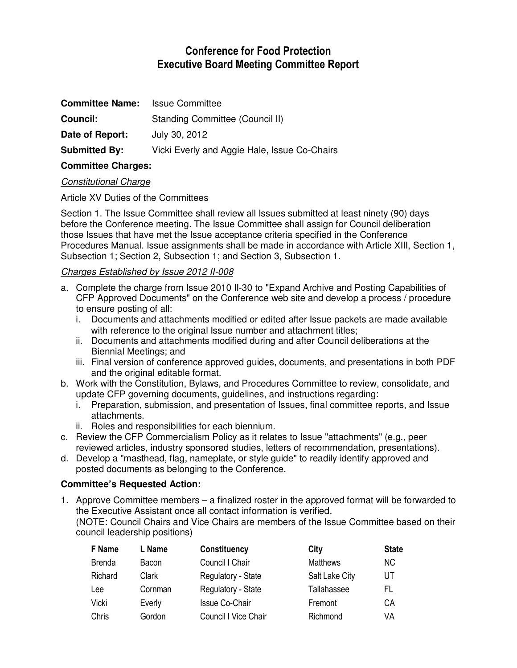# **Conference for Food Protection Executive Board Meeting Committee Report**

| <b>Committee Name:</b> | <b>Issue Committee</b>                       |
|------------------------|----------------------------------------------|
| Council:               | Standing Committee (Council II)              |
| Date of Report:        | July 30, 2012                                |
| <b>Submitted By:</b>   | Vicki Everly and Aggie Hale, Issue Co-Chairs |

### **Committee Charges:**

## Constitutional Charge

Article XV Duties of the Committees

Section 1. The Issue Committee shall review all Issues submitted at least ninety (90) days before the Conference meeting. The Issue Committee shall assign for Council deliberation those Issues that have met the Issue acceptance criteria specified in the Conference Procedures Manual. Issue assignments shall be made in accordance with Article XIII, Section 1, Subsection 1; Section 2, Subsection 1; and Section 3, Subsection 1.

## Charges Established by Issue 2012 II-008

- a. Complete the charge from Issue 2010 II-30 to "Expand Archive and Posting Capabilities of CFP Approved Documents" on the Conference web site and develop a process / procedure to ensure posting of all:
	- i. Documents and attachments modified or edited after Issue packets are made available with reference to the original Issue number and attachment titles;
	- ii. Documents and attachments modified during and after Council deliberations at the Biennial Meetings; and
	- iii. Final version of conference approved guides, documents, and presentations in both PDF and the original editable format.
- b. Work with the Constitution, Bylaws, and Procedures Committee to review, consolidate, and update CFP governing documents, guidelines, and instructions regarding:
	- i. Preparation, submission, and presentation of Issues, final committee reports, and Issue attachments.
	- ii. Roles and responsibilities for each biennium.
- c. Review the CFP Commercialism Policy as it relates to Issue "attachments" (e.g., peer reviewed articles, industry sponsored studies, letters of recommendation, presentations).
- d. Develop a "masthead, flag, nameplate, or style guide" to readily identify approved and posted documents as belonging to the Conference.

#### **Committee's Requested Action:**

1. Approve Committee members – a finalized roster in the approved format will be forwarded to the Executive Assistant once all contact information is verified.

(NOTE: Council Chairs and Vice Chairs are members of the Issue Committee based on their council leadership positions)

| F Name        | L Name  | <b>Constituency</b>         | City            | <b>State</b> |
|---------------|---------|-----------------------------|-----------------|--------------|
| <b>Brenda</b> | Bacon   | Council I Chair             | <b>Matthews</b> | NC.          |
| Richard       | Clark   | Regulatory - State          | Salt Lake City  | UT           |
| Lee           | Cornman | Regulatory - State          | Tallahassee     | FL           |
| Vicki         | Everly  | <b>Issue Co-Chair</b>       | Fremont         | CА           |
| Chris         | Gordon  | <b>Council I Vice Chair</b> | Richmond        | VA           |